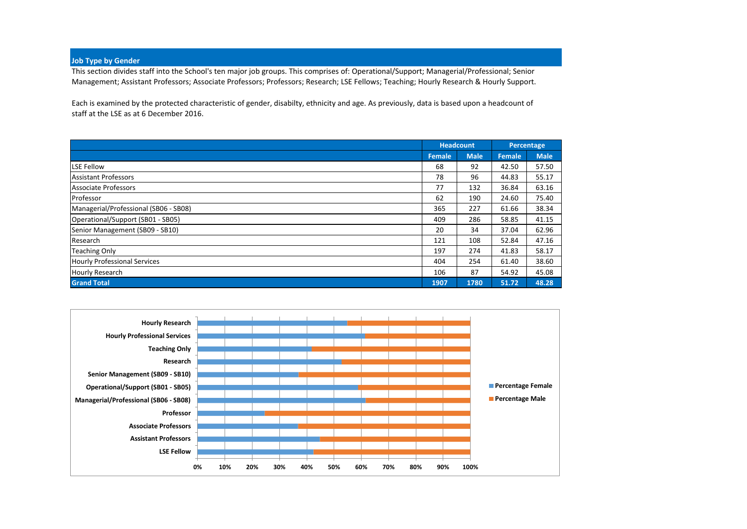#### **Job Type by Gender**

This section divides staff into the School's ten major job groups. This comprises of: Operational/Support; Managerial/Professional; Senior Management; Assistant Professors; Associate Professors; Professors; Research; LSE Fellows; Teaching; Hourly Research & Hourly Support.

Each is examined by the protected characteristic of gender, disabilty, ethnicity and age. As previously, data is based upon a headcount of staff at the LSE as at 6 December 2016.

|                                       |        | <b>Headcount</b> | Percentage |             |
|---------------------------------------|--------|------------------|------------|-------------|
|                                       | Female | <b>Male</b>      | Female     | <b>Male</b> |
| <b>LSE Fellow</b>                     | 68     | 92               | 42.50      | 57.50       |
| <b>Assistant Professors</b>           | 78     | 96               | 44.83      | 55.17       |
| <b>Associate Professors</b>           | 77     | 132              | 36.84      | 63.16       |
| Professor                             | 62     | 190              | 24.60      | 75.40       |
| Managerial/Professional (SB06 - SB08) | 365    | 227              | 61.66      | 38.34       |
| Operational/Support (SB01 - SB05)     | 409    | 286              | 58.85      | 41.15       |
| Senior Management (SB09 - SB10)       | 20     | 34               | 37.04      | 62.96       |
| Research                              | 121    | 108              | 52.84      | 47.16       |
| <b>Teaching Only</b>                  | 197    | 274              | 41.83      | 58.17       |
| <b>Hourly Professional Services</b>   | 404    | 254              | 61.40      | 38.60       |
| <b>Hourly Research</b>                | 106    | 87               | 54.92      | 45.08       |
| <b>Grand Total</b>                    | 1907   | 1780             | 51.72      | 48.28       |

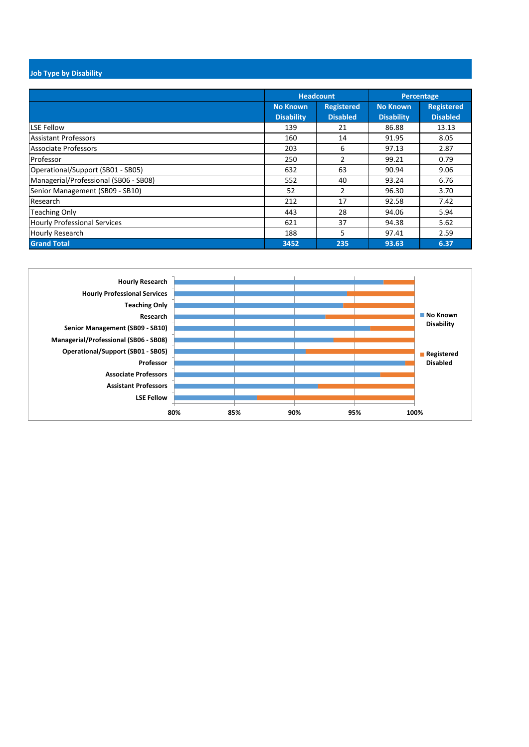## **Job Type by Disability**

|                                       |                                      | <b>Headcount</b>                     |                                      | Percentage                           |
|---------------------------------------|--------------------------------------|--------------------------------------|--------------------------------------|--------------------------------------|
|                                       | <b>No Known</b><br><b>Disability</b> | <b>Registered</b><br><b>Disabled</b> | <b>No Known</b><br><b>Disability</b> | <b>Registered</b><br><b>Disabled</b> |
| <b>LSE Fellow</b>                     | 139                                  | 21                                   | 86.88                                | 13.13                                |
| <b>Assistant Professors</b>           | 160                                  | 14                                   | 91.95                                | 8.05                                 |
| <b>Associate Professors</b>           | 203                                  | 6                                    | 97.13                                | 2.87                                 |
| Professor                             | 250                                  | 2                                    | 99.21                                | 0.79                                 |
| Operational/Support (SB01 - SB05)     | 632                                  | 63                                   | 90.94                                | 9.06                                 |
| Managerial/Professional (SB06 - SB08) | 552                                  | 40                                   | 93.24                                | 6.76                                 |
| Senior Management (SB09 - SB10)       | 52                                   | $\mathcal{P}$                        | 96.30                                | 3.70                                 |
| Research                              | 212                                  | 17                                   | 92.58                                | 7.42                                 |
| <b>Teaching Only</b>                  | 443                                  | 28                                   | 94.06                                | 5.94                                 |
| <b>Hourly Professional Services</b>   | 621                                  | 37                                   | 94.38                                | 5.62                                 |
| <b>Hourly Research</b>                | 188                                  | 5.                                   | 97.41                                | 2.59                                 |
| <b>Grand Total</b>                    | 3452                                 | 235                                  | 93.63                                | 6.37                                 |

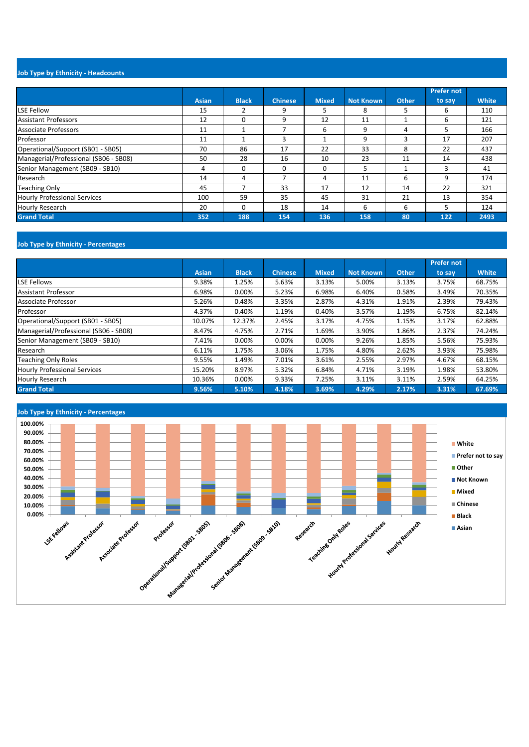## **Job Type by Ethnicity - Headcounts**

|                                       |       |              |                   |              |                  |              | <b>Prefer not</b> |              |
|---------------------------------------|-------|--------------|-------------------|--------------|------------------|--------------|-------------------|--------------|
|                                       | Asian | <b>Black</b> | <b>Chinese</b>    | <b>Mixed</b> | <b>Not Known</b> | <b>Other</b> | to say            | <b>White</b> |
| <b>LSE Fellow</b>                     | 15    |              | 9                 | 5.           | 8                | 5            | 6                 | 110          |
| <b>Assistant Professors</b>           | 12    | $\Omega$     | 9                 | 12           | 11               |              | 6                 | 121          |
| Associate Professors                  | 11    |              |                   | 6            | 9                | 4            | 5                 | 166          |
| Professor                             | 11    |              | $\mathbf{\hat{}}$ |              | 9                | 3            | 17                | 207          |
| Operational/Support (SB01 - SB05)     | 70    | 86           | 17                | 22           | 33               | 8            | 22                | 437          |
| Managerial/Professional (SB06 - SB08) | 50    | 28           | 16                | 10           | 23               | 11           | 14                | 438          |
| Senior Management (SB09 - SB10)       | 4     | $\Omega$     | $\Omega$          | 0            | 5                |              | 3                 | 41           |
| Research                              | 14    | 4            |                   | 4            | 11               | 6            | 9                 | 174          |
| <b>Teaching Only</b>                  | 45    |              | 33                | 17           | 12               | 14           | 22                | 321          |
| <b>Hourly Professional Services</b>   | 100   | 59           | 35                | 45           | 31               | 21           | 13                | 354          |
| <b>Hourly Research</b>                | 20    | $\Omega$     | 18                | 14           | 6                | 6            | 5                 | 124          |
| <b>Grand Total</b>                    | 352   | 188          | 154               | 136          | 158              | 80           | 122               | 2493         |

### **Job Type by Ethnicity - Percentages**

|                                       |              |              |                |              |                  |              | <b>Prefer not</b> |              |
|---------------------------------------|--------------|--------------|----------------|--------------|------------------|--------------|-------------------|--------------|
|                                       | <b>Asian</b> | <b>Black</b> | <b>Chinese</b> | <b>Mixed</b> | <b>Not Known</b> | <b>Other</b> | to say            | <b>White</b> |
| <b>LSE Fellows</b>                    | 9.38%        | 1.25%        | 5.63%          | 3.13%        | 5.00%            | 3.13%        | 3.75%             | 68.75%       |
| <b>Assistant Professor</b>            | 6.98%        | 0.00%        | 5.23%          | 6.98%        | 6.40%            | 0.58%        | 3.49%             | 70.35%       |
| Associate Professor                   | 5.26%        | 0.48%        | 3.35%          | 2.87%        | 4.31%            | 1.91%        | 2.39%             | 79.43%       |
| Professor                             | 4.37%        | 0.40%        | 1.19%          | 0.40%        | 3.57%            | 1.19%        | 6.75%             | 82.14%       |
| Operational/Support (SB01 - SB05)     | 10.07%       | 12.37%       | 2.45%          | 3.17%        | 4.75%            | 1.15%        | 3.17%             | 62.88%       |
| Managerial/Professional (SB06 - SB08) | 8.47%        | 4.75%        | 2.71%          | 1.69%        | 3.90%            | 1.86%        | 2.37%             | 74.24%       |
| Senior Management (SB09 - SB10)       | 7.41%        | 0.00%        | 0.00%          | 0.00%        | 9.26%            | 1.85%        | 5.56%             | 75.93%       |
| Research                              | 6.11%        | 1.75%        | 3.06%          | 1.75%        | 4.80%            | 2.62%        | 3.93%             | 75.98%       |
| <b>Teaching Only Roles</b>            | 9.55%        | 1.49%        | 7.01%          | 3.61%        | 2.55%            | 2.97%        | 4.67%             | 68.15%       |
| <b>Hourly Professional Services</b>   | 15.20%       | 8.97%        | 5.32%          | 6.84%        | 4.71%            | 3.19%        | 1.98%             | 53.80%       |
| <b>Hourly Research</b>                | 10.36%       | 0.00%        | 9.33%          | 7.25%        | 3.11%            | 3.11%        | 2.59%             | 64.25%       |
| <b>Grand Total</b>                    | 9.56%        | 5.10%        | 4.18%          | 3.69%        | 4.29%            | 2.17%        | 3.31%             | 67.69%       |